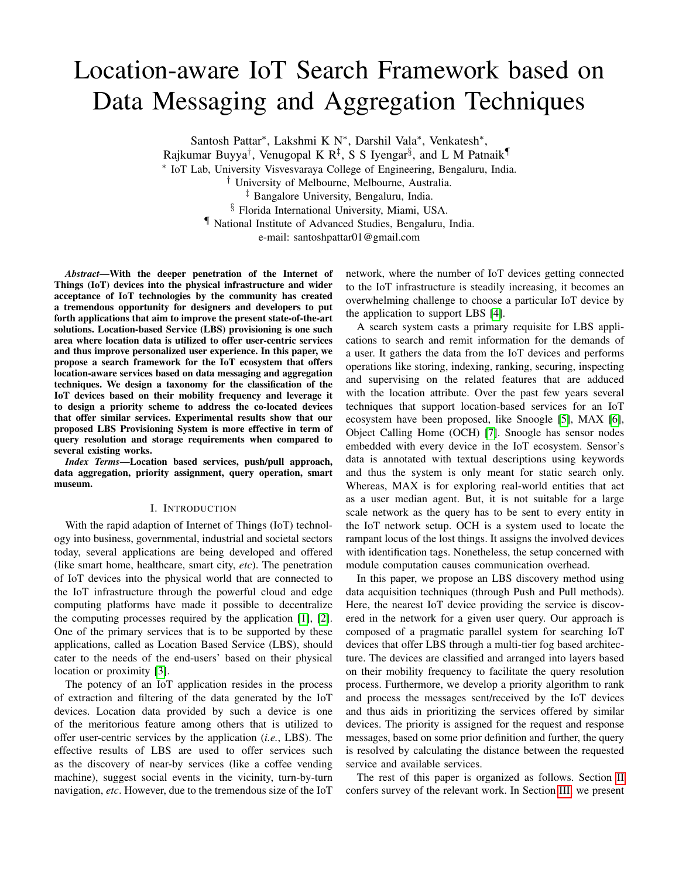# Location-aware IoT Search Framework based on Data Messaging and Aggregation Techniques

Santosh Pattar<sup>\*</sup>, Lakshmi K N<sup>\*</sup>, Darshil Vala<sup>\*</sup>, Venkatesh<sup>\*</sup>,

Rajkumar Buyya<sup>†</sup>, Venugopal K R<sup>‡</sup>, S S Iyengar<sup>§</sup>, and L M Patnaik¶ ∗ IoT Lab, University Visvesvaraya College of Engineering, Bengaluru, India. † University of Melbourne, Melbourne, Australia. ‡ Bangalore University, Bengaluru, India. § Florida International University, Miami, USA. ¶ National Institute of Advanced Studies, Bengaluru, India.

e-mail: santoshpattar01@gmail.com

*Abstract*—With the deeper penetration of the Internet of Things (IoT) devices into the physical infrastructure and wider acceptance of IoT technologies by the community has created a tremendous opportunity for designers and developers to put forth applications that aim to improve the present state-of-the-art solutions. Location-based Service (LBS) provisioning is one such area where location data is utilized to offer user-centric services and thus improve personalized user experience. In this paper, we propose a search framework for the IoT ecosystem that offers location-aware services based on data messaging and aggregation techniques. We design a taxonomy for the classification of the IoT devices based on their mobility frequency and leverage it to design a priority scheme to address the co-located devices that offer similar services. Experimental results show that our proposed LBS Provisioning System is more effective in term of query resolution and storage requirements when compared to several existing works.

*Index Terms*—Location based services, push/pull approach, data aggregation, priority assignment, query operation, smart museum.

#### I. INTRODUCTION

With the rapid adaption of Internet of Things (IoT) technology into business, governmental, industrial and societal sectors today, several applications are being developed and offered (like smart home, healthcare, smart city, *etc*). The penetration of IoT devices into the physical world that are connected to the IoT infrastructure through the powerful cloud and edge computing platforms have made it possible to decentralize the computing processes required by the application [\[1\]](#page-6-0), [\[2\]](#page-6-1). One of the primary services that is to be supported by these applications, called as Location Based Service (LBS), should cater to the needs of the end-users' based on their physical location or proximity [\[3\]](#page-6-2).

The potency of an IoT application resides in the process of extraction and filtering of the data generated by the IoT devices. Location data provided by such a device is one of the meritorious feature among others that is utilized to offer user-centric services by the application (*i.e.*, LBS). The effective results of LBS are used to offer services such as the discovery of near-by services (like a coffee vending machine), suggest social events in the vicinity, turn-by-turn navigation, *etc*. However, due to the tremendous size of the IoT

network, where the number of IoT devices getting connected to the IoT infrastructure is steadily increasing, it becomes an overwhelming challenge to choose a particular IoT device by the application to support LBS [\[4\]](#page-6-3).

A search system casts a primary requisite for LBS applications to search and remit information for the demands of a user. It gathers the data from the IoT devices and performs operations like storing, indexing, ranking, securing, inspecting and supervising on the related features that are adduced with the location attribute. Over the past few years several techniques that support location-based services for an IoT ecosystem have been proposed, like Snoogle [\[5\]](#page-6-4), MAX [\[6\]](#page-6-5), Object Calling Home (OCH) [\[7\]](#page-6-6). Snoogle has sensor nodes embedded with every device in the IoT ecosystem. Sensor's data is annotated with textual descriptions using keywords and thus the system is only meant for static search only. Whereas, MAX is for exploring real-world entities that act as a user median agent. But, it is not suitable for a large scale network as the query has to be sent to every entity in the IoT network setup. OCH is a system used to locate the rampant locus of the lost things. It assigns the involved devices with identification tags. Nonetheless, the setup concerned with module computation causes communication overhead.

In this paper, we propose an LBS discovery method using data acquisition techniques (through Push and Pull methods). Here, the nearest IoT device providing the service is discovered in the network for a given user query. Our approach is composed of a pragmatic parallel system for searching IoT devices that offer LBS through a multi-tier fog based architecture. The devices are classified and arranged into layers based on their mobility frequency to facilitate the query resolution process. Furthermore, we develop a priority algorithm to rank and process the messages sent/received by the IoT devices and thus aids in prioritizing the services offered by similar devices. The priority is assigned for the request and response messages, based on some prior definition and further, the query is resolved by calculating the distance between the requested service and available services.

The rest of this paper is organized as follows. Section [II](#page-1-0) confers survey of the relevant work. In Section [III,](#page-1-1) we present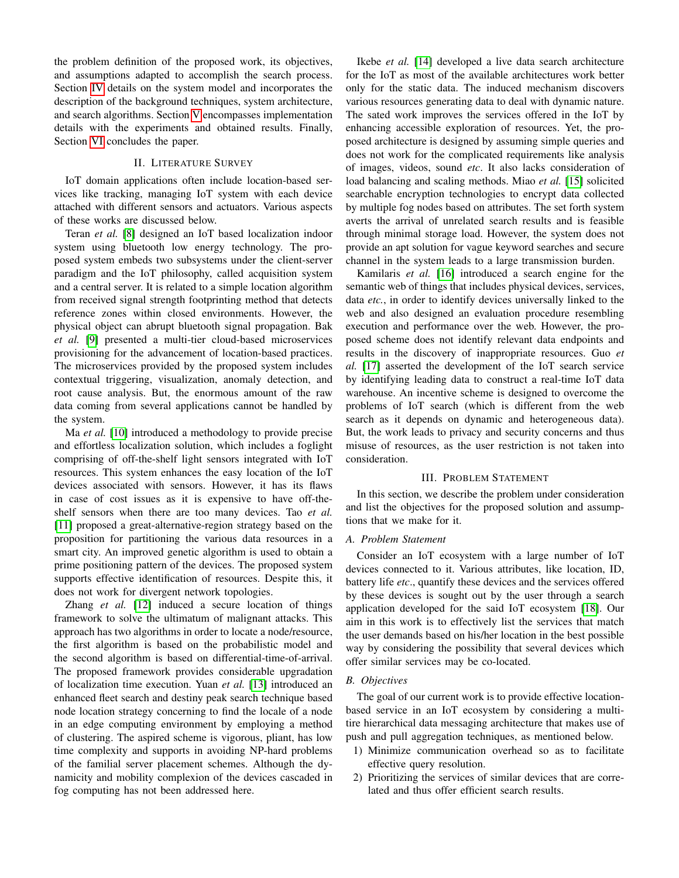the problem definition of the proposed work, its objectives, and assumptions adapted to accomplish the search process. Section [IV](#page-2-0) details on the system model and incorporates the description of the background techniques, system architecture, and search algorithms. Section [V](#page-5-0) encompasses implementation details with the experiments and obtained results. Finally, Section [VI](#page-5-1) concludes the paper.

# II. LITERATURE SURVEY

<span id="page-1-0"></span>IoT domain applications often include location-based services like tracking, managing IoT system with each device attached with different sensors and actuators. Various aspects of these works are discussed below.

Teran *et al.* [\[8\]](#page-6-7) designed an IoT based localization indoor system using bluetooth low energy technology. The proposed system embeds two subsystems under the client-server paradigm and the IoT philosophy, called acquisition system and a central server. It is related to a simple location algorithm from received signal strength footprinting method that detects reference zones within closed environments. However, the physical object can abrupt bluetooth signal propagation. Bak *et al.* [\[9\]](#page-6-8) presented a multi-tier cloud-based microservices provisioning for the advancement of location-based practices. The microservices provided by the proposed system includes contextual triggering, visualization, anomaly detection, and root cause analysis. But, the enormous amount of the raw data coming from several applications cannot be handled by the system.

Ma *et al.* [\[10\]](#page-6-9) introduced a methodology to provide precise and effortless localization solution, which includes a foglight comprising of off-the-shelf light sensors integrated with IoT resources. This system enhances the easy location of the IoT devices associated with sensors. However, it has its flaws in case of cost issues as it is expensive to have off-theshelf sensors when there are too many devices. Tao *et al.* [\[11\]](#page-6-10) proposed a great-alternative-region strategy based on the proposition for partitioning the various data resources in a smart city. An improved genetic algorithm is used to obtain a prime positioning pattern of the devices. The proposed system supports effective identification of resources. Despite this, it does not work for divergent network topologies.

Zhang *et al.* [\[12\]](#page-6-11) induced a secure location of things framework to solve the ultimatum of malignant attacks. This approach has two algorithms in order to locate a node/resource, the first algorithm is based on the probabilistic model and the second algorithm is based on differential-time-of-arrival. The proposed framework provides considerable upgradation of localization time execution. Yuan *et al.* [\[13\]](#page-6-12) introduced an enhanced fleet search and destiny peak search technique based node location strategy concerning to find the locale of a node in an edge computing environment by employing a method of clustering. The aspired scheme is vigorous, pliant, has low time complexity and supports in avoiding NP-hard problems of the familial server placement schemes. Although the dynamicity and mobility complexion of the devices cascaded in fog computing has not been addressed here.

Ikebe *et al.* [\[14\]](#page-6-13) developed a live data search architecture for the IoT as most of the available architectures work better only for the static data. The induced mechanism discovers various resources generating data to deal with dynamic nature. The sated work improves the services offered in the IoT by enhancing accessible exploration of resources. Yet, the proposed architecture is designed by assuming simple queries and does not work for the complicated requirements like analysis of images, videos, sound *etc*. It also lacks consideration of load balancing and scaling methods. Miao *et al.* [\[15\]](#page-6-14) solicited searchable encryption technologies to encrypt data collected by multiple fog nodes based on attributes. The set forth system averts the arrival of unrelated search results and is feasible through minimal storage load. However, the system does not provide an apt solution for vague keyword searches and secure channel in the system leads to a large transmission burden.

Kamilaris *et al.* [\[16\]](#page-6-15) introduced a search engine for the semantic web of things that includes physical devices, services, data *etc.*, in order to identify devices universally linked to the web and also designed an evaluation procedure resembling execution and performance over the web. However, the proposed scheme does not identify relevant data endpoints and results in the discovery of inappropriate resources. Guo *et al.* [\[17\]](#page-6-16) asserted the development of the IoT search service by identifying leading data to construct a real-time IoT data warehouse. An incentive scheme is designed to overcome the problems of IoT search (which is different from the web search as it depends on dynamic and heterogeneous data). But, the work leads to privacy and security concerns and thus misuse of resources, as the user restriction is not taken into consideration.

### III. PROBLEM STATEMENT

<span id="page-1-1"></span>In this section, we describe the problem under consideration and list the objectives for the proposed solution and assumptions that we make for it.

#### *A. Problem Statement*

Consider an IoT ecosystem with a large number of IoT devices connected to it. Various attributes, like location, ID, battery life *etc*., quantify these devices and the services offered by these devices is sought out by the user through a search application developed for the said IoT ecosystem [\[18\]](#page-6-17). Our aim in this work is to effectively list the services that match the user demands based on his/her location in the best possible way by considering the possibility that several devices which offer similar services may be co-located.

#### *B. Objectives*

The goal of our current work is to provide effective locationbased service in an IoT ecosystem by considering a multitire hierarchical data messaging architecture that makes use of push and pull aggregation techniques, as mentioned below.

- 1) Minimize communication overhead so as to facilitate effective query resolution.
- 2) Prioritizing the services of similar devices that are correlated and thus offer efficient search results.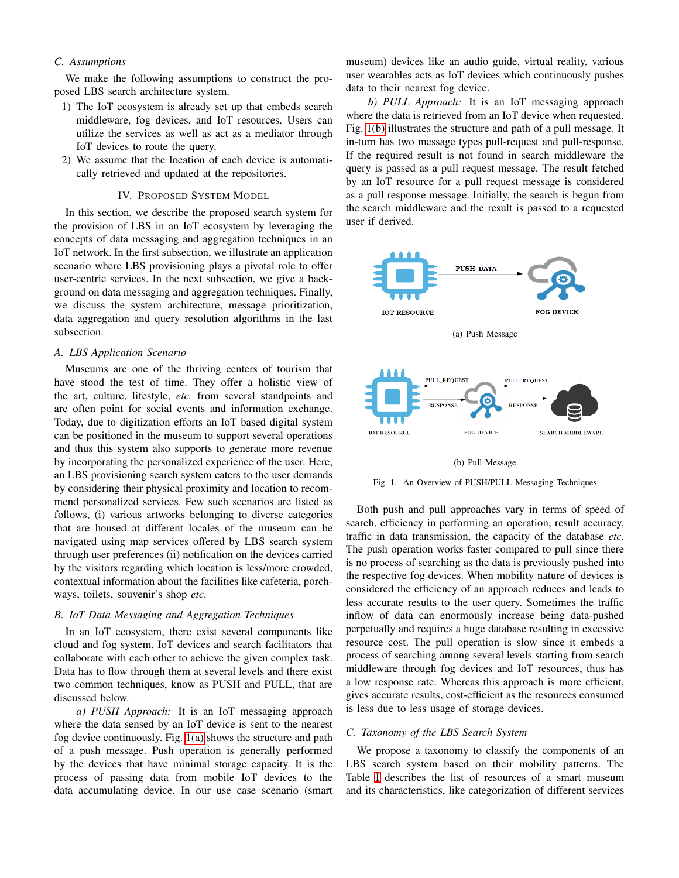# *C. Assumptions*

We make the following assumptions to construct the proposed LBS search architecture system.

- 1) The IoT ecosystem is already set up that embeds search middleware, fog devices, and IoT resources. Users can utilize the services as well as act as a mediator through IoT devices to route the query.
- 2) We assume that the location of each device is automatically retrieved and updated at the repositories.

### IV. PROPOSED SYSTEM MODEL

<span id="page-2-0"></span>In this section, we describe the proposed search system for the provision of LBS in an IoT ecosystem by leveraging the concepts of data messaging and aggregation techniques in an IoT network. In the first subsection, we illustrate an application scenario where LBS provisioning plays a pivotal role to offer user-centric services. In the next subsection, we give a background on data messaging and aggregation techniques. Finally, we discuss the system architecture, message prioritization, data aggregation and query resolution algorithms in the last subsection.

## *A. LBS Application Scenario*

Museums are one of the thriving centers of tourism that have stood the test of time. They offer a holistic view of the art, culture, lifestyle, *etc.* from several standpoints and are often point for social events and information exchange. Today, due to digitization efforts an IoT based digital system can be positioned in the museum to support several operations and thus this system also supports to generate more revenue by incorporating the personalized experience of the user. Here, an LBS provisioning search system caters to the user demands by considering their physical proximity and location to recommend personalized services. Few such scenarios are listed as follows, (i) various artworks belonging to diverse categories that are housed at different locales of the museum can be navigated using map services offered by LBS search system through user preferences (ii) notification on the devices carried by the visitors regarding which location is less/more crowded, contextual information about the facilities like cafeteria, porchways, toilets, souvenir's shop *etc*.

### *B. IoT Data Messaging and Aggregation Techniques*

In an IoT ecosystem, there exist several components like cloud and fog system, IoT devices and search facilitators that collaborate with each other to achieve the given complex task. Data has to flow through them at several levels and there exist two common techniques, know as PUSH and PULL, that are discussed below.

*a) PUSH Approach:* It is an IoT messaging approach where the data sensed by an IoT device is sent to the nearest fog device continuously. Fig. [1\(a\)](#page-2-1) shows the structure and path of a push message. Push operation is generally performed by the devices that have minimal storage capacity. It is the process of passing data from mobile IoT devices to the data accumulating device. In our use case scenario (smart museum) devices like an audio guide, virtual reality, various user wearables acts as IoT devices which continuously pushes data to their nearest fog device.

*b) PULL Approach:* It is an IoT messaging approach where the data is retrieved from an IoT device when requested. Fig. [1\(b\)](#page-2-2) illustrates the structure and path of a pull message. It in-turn has two message types pull-request and pull-response. If the required result is not found in search middleware the query is passed as a pull request message. The result fetched by an IoT resource for a pull request message is considered as a pull response message. Initially, the search is begun from the search middleware and the result is passed to a requested user if derived.

<span id="page-2-1"></span>



(b) Pull Message

<span id="page-2-2"></span>Fig. 1. An Overview of PUSH/PULL Messaging Techniques

Both push and pull approaches vary in terms of speed of search, efficiency in performing an operation, result accuracy, traffic in data transmission, the capacity of the database *etc*. The push operation works faster compared to pull since there is no process of searching as the data is previously pushed into the respective fog devices. When mobility nature of devices is considered the efficiency of an approach reduces and leads to less accurate results to the user query. Sometimes the traffic inflow of data can enormously increase being data-pushed perpetually and requires a huge database resulting in excessive resource cost. The pull operation is slow since it embeds a process of searching among several levels starting from search middleware through fog devices and IoT resources, thus has a low response rate. Whereas this approach is more efficient, gives accurate results, cost-efficient as the resources consumed is less due to less usage of storage devices.

## *C. Taxonomy of the LBS Search System*

We propose a taxonomy to classify the components of an LBS search system based on their mobility patterns. The Table [I](#page-3-0) describes the list of resources of a smart museum and its characteristics, like categorization of different services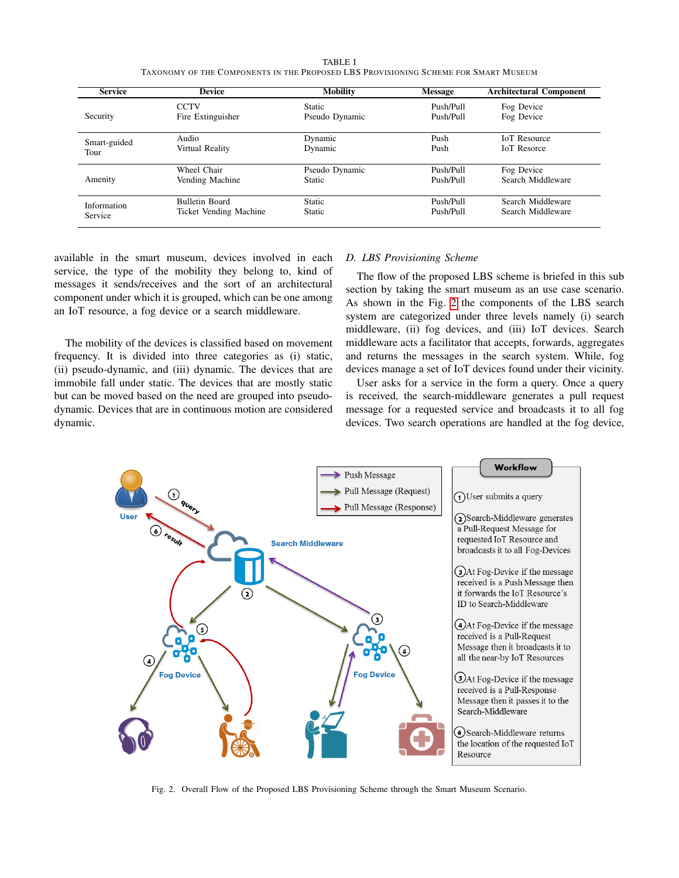<span id="page-3-0"></span>

| TAXONOMY OF THE COMPONENTS IN THE PROPOSED LBS PROVISIONING SCHEME FOR SMART MUSEUM |                        |                 |                |                                |
|-------------------------------------------------------------------------------------|------------------------|-----------------|----------------|--------------------------------|
| <b>Service</b>                                                                      | <b>Device</b>          | <b>Mobility</b> | <b>Message</b> | <b>Architectural Component</b> |
| Security                                                                            | <b>CCTV</b>            | <b>Static</b>   | Push/Pull      | Fog Device                     |
|                                                                                     | Fire Extinguisher      | Pseudo Dynamic  | Push/Pull      | Fog Device                     |
| Smart-guided                                                                        | Audio                  | Dynamic         | Push           | <b>IoT</b> Resource            |
| Tour                                                                                | Virtual Reality        | Dynamic         | Push           | <b>IoT</b> Resorce             |
| Amenity                                                                             | Wheel Chair            | Pseudo Dynamic  | Push/Pull      | Fog Device                     |
|                                                                                     | Vending Machine        | <b>Static</b>   | Push/Pull      | Search Middleware              |
| Information                                                                         | Bulletin Board         | <b>Static</b>   | Push/Pull      | Search Middleware              |
| Service                                                                             | Ticket Vending Machine | <b>Static</b>   | Push/Pull      | Search Middleware              |

TABLE I TAXONOMY OF THE COMPONENTS IN THE PROPOSED LBS PROVISIONING SCHEME FOR SMART MUSEUM

available in the smart museum, devices involved in each service, the type of the mobility they belong to, kind of messages it sends/receives and the sort of an architectural component under which it is grouped, which can be one among an IoT resource, a fog device or a search middleware.

The mobility of the devices is classified based on movement frequency. It is divided into three categories as (i) static, (ii) pseudo-dynamic, and (iii) dynamic. The devices that are immobile fall under static. The devices that are mostly static but can be moved based on the need are grouped into pseudodynamic. Devices that are in continuous motion are considered dynamic.

#### *D. LBS Provisioning Scheme*

The flow of the proposed LBS scheme is briefed in this sub section by taking the smart museum as an use case scenario. As shown in the Fig. [2](#page-3-1) the components of the LBS search system are categorized under three levels namely (i) search middleware, (ii) fog devices, and (iii) IoT devices. Search middleware acts a facilitator that accepts, forwards, aggregates and returns the messages in the search system. While, fog devices manage a set of IoT devices found under their vicinity.

User asks for a service in the form a query. Once a query is received, the search-middleware generates a pull request message for a requested service and broadcasts it to all fog devices. Two search operations are handled at the fog device,



<span id="page-3-1"></span>Fig. 2. Overall Flow of the Proposed LBS Provisioning Scheme through the Smart Museum Scenario.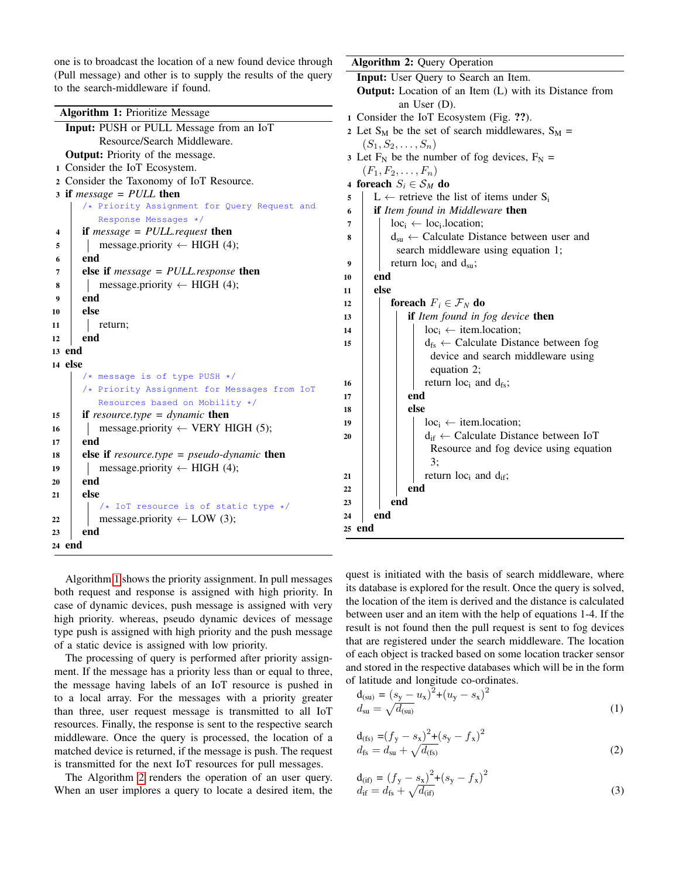one is to broadcast the location of a new found device through (Pull message) and other is to supply the results of the query to the search-middleware if found.

<span id="page-4-0"></span>

|                                                            | an User $(D)$ .                                                |  |  |
|------------------------------------------------------------|----------------------------------------------------------------|--|--|
| <b>Algorithm 1: Prioritize Message</b>                     | 1 Consider the IoT Ecosystem (Fig. ??).                        |  |  |
| Input: PUSH or PULL Message from an IoT                    | 2 Let S <sub>M</sub> be the set of search middlewares, $S_M =$ |  |  |
| Resource/Search Middleware.                                | $(S_1, S_2, \ldots, S_n)$                                      |  |  |
| <b>Output:</b> Priority of the message.                    | 3 Let $F_N$ be the number of fog devices, $F_N =$              |  |  |
| 1 Consider the IoT Ecosystem.                              | $(F_1, F_2, \ldots, F_n)$                                      |  |  |
| 2 Consider the Taxonomy of IoT Resource.                   | 4 foreach $S_i \in S_M$ do                                     |  |  |
| 3 if $message = PULL$ then                                 | $L \leftarrow$ retrieve the list of items under $S_i$<br>5     |  |  |
| /* Priority Assignment for Query Request and               | if Item found in Middleware then<br>6                          |  |  |
| Response Messages */                                       | $loc_i \leftarrow loc_i$ . location;<br>$\overline{7}$         |  |  |
| if $message = PULL.request$ then<br>$\boldsymbol{4}$       | $d_{su} \leftarrow$ Calculate Distance between user and<br>8   |  |  |
| message.priority $\leftarrow$ HIGH (4);<br>5               | search middleware using equation 1;                            |  |  |
| end<br>6                                                   | return $loci$ and $dsu$ ;<br>9                                 |  |  |
| else if $message = PULL$ . response then<br>7              | end<br>10                                                      |  |  |
| message.priority $\leftarrow$ HIGH (4);<br>8               | else<br>11                                                     |  |  |
| end<br>9                                                   | foreach $F_i \in \mathcal{F}_N$ do<br>12                       |  |  |
| else<br>10                                                 | if Item found in fog device then<br>13                         |  |  |
| return;<br>11                                              | $loc_i \leftarrow$ item.location;<br>14                        |  |  |
| end<br>12                                                  | $d_{fs} \leftarrow$ Calculate Distance between fog<br>15       |  |  |
| 13 end                                                     | device and search middleware using                             |  |  |
| 14 else                                                    | equation 2;                                                    |  |  |
| /* message is of type PUSH */                              |                                                                |  |  |
| /* Priority Assignment for Messages from IoT               | return $loci$ and $dfs$ ;<br>16                                |  |  |
| Resources based on Mobility */                             | end<br>17                                                      |  |  |
| if $resource_type = dynamic$ then<br>15                    | else<br>18                                                     |  |  |
| message.priority $\leftarrow$ VERY HIGH (5);<br>16         | $loc_i \leftarrow$ item.location;<br>19                        |  |  |
| end<br>17                                                  | $d_{if} \leftarrow$ Calculate Distance between IoT<br>20       |  |  |
| <b>else if</b> resource.type = $pseudo-dynamic$ then<br>18 | Resource and fog device using equation                         |  |  |
| message.priority $\leftarrow$ HIGH (4);<br>19              | 3;                                                             |  |  |
| end<br>20                                                  | return $loc_i$ and $d_{if}$ ;<br>21                            |  |  |
| else<br>21                                                 | end<br>22                                                      |  |  |
| /* IoT resource is of static type */                       | end<br>23                                                      |  |  |
| message.priority $\leftarrow$ LOW (3);<br>22               | end<br>24                                                      |  |  |
| end<br>23                                                  | 25 end                                                         |  |  |
| 24 end                                                     |                                                                |  |  |

Algorithm [1](#page-4-0) shows the priority assignment. In pull messages both request and response is assigned with high priority. In case of dynamic devices, push message is assigned with very high priority. whereas, pseudo dynamic devices of message type push is assigned with high priority and the push message of a static device is assigned with low priority.

The processing of query is performed after priority assignment. If the message has a priority less than or equal to three, the message having labels of an IoT resource is pushed in to a local array. For the messages with a priority greater than three, user request message is transmitted to all IoT resources. Finally, the response is sent to the respective search middleware. Once the query is processed, the location of a matched device is returned, if the message is push. The request is transmitted for the next IoT resources for pull messages.

The Algorithm [2](#page-4-1) renders the operation of an user query. When an user implores a query to locate a desired item, the quest is initiated with the basis of search middleware, where its database is explored for the result. Once the query is solved, the location of the item is derived and the distance is calculated between user and an item with the help of equations 1-4. If the result is not found then the pull request is sent to fog devices that are registered under the search middleware. The location of each object is tracked based on some location tracker sensor and stored in the respective databases which will be in the form of latitude and longitude co-ordinates.

Algorithm 2: Query Operation

<span id="page-4-1"></span>Input: User Query to Search an Item.

Output: Location of an Item (L) with its Distance from

$$
d_{\text{(su)}} = (s_y - u_x)^2 + (u_y - s_x)^2
$$
  
\n
$$
d_{\text{su}} = \sqrt{d_{\text{(su)}}}
$$
\n(1)

$$
d_{(fs)} = (f_y - s_x)^2 + (s_y - f_x)^2
$$
  
\n
$$
d_{fs} = d_{su} + \sqrt{d_{(fs)}}
$$
\n(2)

$$
d_{\text{(if)}} = (f_y - s_x)^2 + (s_y - f_x)^2
$$
  
\n
$$
d_{\text{if}} = d_{\text{fs}} + \sqrt{d_{\text{(if)}}}
$$
\n(3)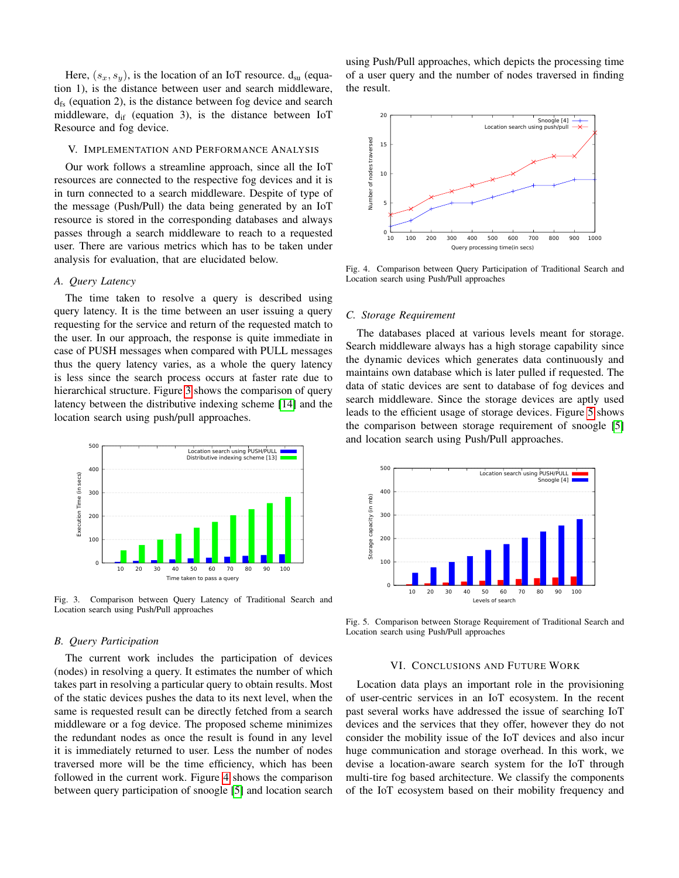Here,  $(s_x, s_y)$ , is the location of an IoT resource.  $d_{su}$  (equation 1), is the distance between user and search middleware,  $d_{fs}$  (equation 2), is the distance between fog device and search middleware,  $d_{if}$  (equation 3), is the distance between IoT Resource and fog device.

## <span id="page-5-0"></span>V. IMPLEMENTATION AND PERFORMANCE ANALYSIS

Our work follows a streamline approach, since all the IoT resources are connected to the respective fog devices and it is in turn connected to a search middleware. Despite of type of the message (Push/Pull) the data being generated by an IoT resource is stored in the corresponding databases and always passes through a search middleware to reach to a requested user. There are various metrics which has to be taken under analysis for evaluation, that are elucidated below.

# *A. Query Latency*

The time taken to resolve a query is described using query latency. It is the time between an user issuing a query requesting for the service and return of the requested match to the user. In our approach, the response is quite immediate in case of PUSH messages when compared with PULL messages thus the query latency varies, as a whole the query latency is less since the search process occurs at faster rate due to hierarchical structure. Figure [3](#page-5-2) shows the comparison of query latency between the distributive indexing scheme [\[14\]](#page-6-13) and the location search using push/pull approaches.



<span id="page-5-2"></span>Fig. 3. Comparison between Query Latency of Traditional Search and Location search using Push/Pull approaches

# *B. Query Participation*

The current work includes the participation of devices (nodes) in resolving a query. It estimates the number of which takes part in resolving a particular query to obtain results. Most of the static devices pushes the data to its next level, when the same is requested result can be directly fetched from a search middleware or a fog device. The proposed scheme minimizes the redundant nodes as once the result is found in any level it is immediately returned to user. Less the number of nodes traversed more will be the time efficiency, which has been followed in the current work. Figure [4](#page-5-3) shows the comparison between query participation of snoogle [\[5\]](#page-6-4) and location search

using Push/Pull approaches, which depicts the processing time of a user query and the number of nodes traversed in finding the result.



<span id="page-5-3"></span>Fig. 4. Comparison between Query Participation of Traditional Search and Location search using Push/Pull approaches

#### *C. Storage Requirement*

The databases placed at various levels meant for storage. Search middleware always has a high storage capability since the dynamic devices which generates data continuously and maintains own database which is later pulled if requested. The data of static devices are sent to database of fog devices and search middleware. Since the storage devices are aptly used leads to the efficient usage of storage devices. Figure [5](#page-5-4) shows the comparison between storage requirement of snoogle [\[5\]](#page-6-4) and location search using Push/Pull approaches.



<span id="page-5-4"></span>Fig. 5. Comparison between Storage Requirement of Traditional Search and Location search using Push/Pull approaches

# VI. CONCLUSIONS AND FUTURE WORK

<span id="page-5-1"></span>Location data plays an important role in the provisioning of user-centric services in an IoT ecosystem. In the recent past several works have addressed the issue of searching IoT devices and the services that they offer, however they do not consider the mobility issue of the IoT devices and also incur huge communication and storage overhead. In this work, we devise a location-aware search system for the IoT through multi-tire fog based architecture. We classify the components of the IoT ecosystem based on their mobility frequency and